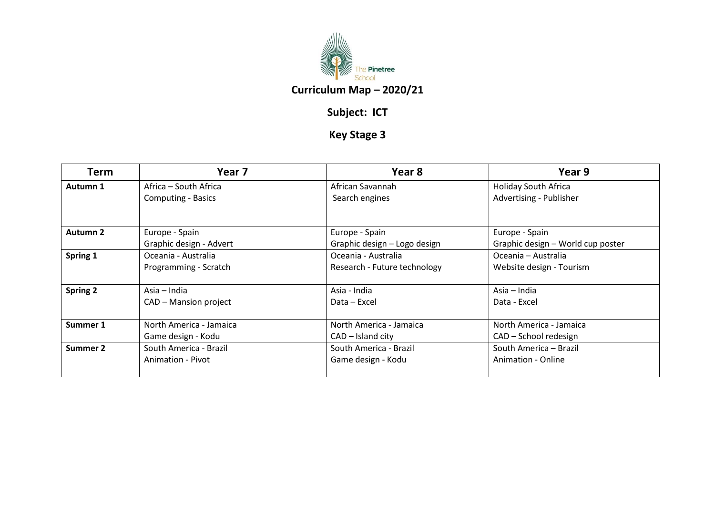

## **Subject: ICT**

## **Key Stage 3**

| Term            | Year 7                    | Year 8                       | Year 9                            |
|-----------------|---------------------------|------------------------------|-----------------------------------|
| Autumn 1        | Africa – South Africa     | African Savannah             | <b>Holiday South Africa</b>       |
|                 | <b>Computing - Basics</b> | Search engines               | Advertising - Publisher           |
| Autumn 2        | Europe - Spain            | Europe - Spain               | Europe - Spain                    |
|                 | Graphic design - Advert   | Graphic design – Logo design | Graphic design – World cup poster |
| Spring 1        | Oceania - Australia       | Oceania - Australia          | Oceania – Australia               |
|                 | Programming - Scratch     | Research - Future technology | Website design - Tourism          |
| <b>Spring 2</b> | Asia – India              | Asia - India                 | Asia – India                      |
|                 | CAD – Mansion project     | Data – Excel                 | Data - Excel                      |
| Summer 1        | North America - Jamaica   | North America - Jamaica      | North America - Jamaica           |
|                 | Game design - Kodu        | $CAD - Island city$          | CAD – School redesign             |
| <b>Summer 2</b> | South America - Brazil    | South America - Brazil       | South America - Brazil            |
|                 | Animation - Pivot         | Game design - Kodu           | Animation - Online                |